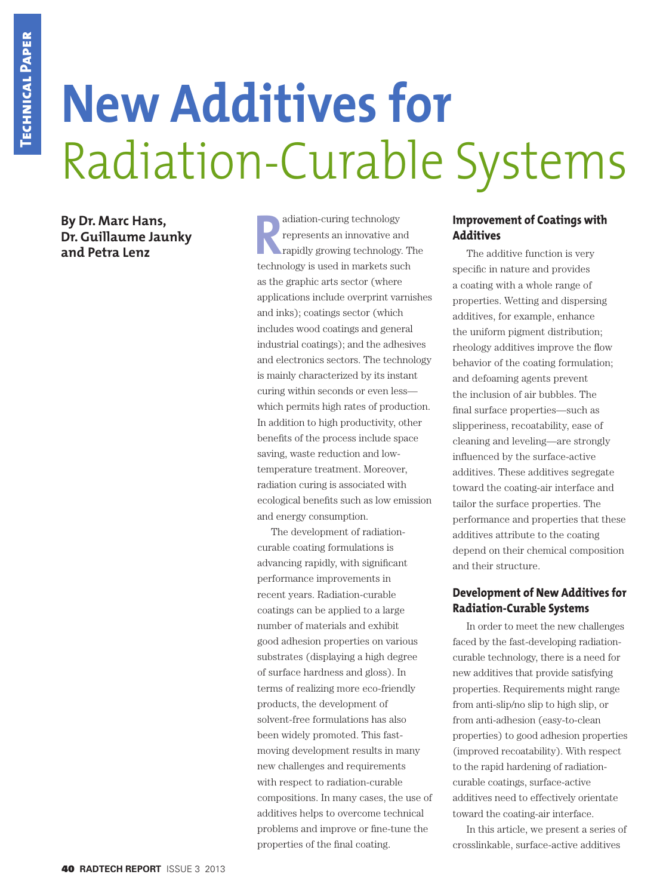# **New Additives for** Radiation-Curable Systems

**By Dr. Marc Hans, Dr. Guillaume Jaunky** 

**By Dr. Marc Hans,<br>
<b>Dr. Guillaume Jaunky**<br> **and Petra Lenz Rand Petra Lenz**<br> **Rand Petra Lenz**<br> **Rand Petra Lenz**<br> **Rand Petra Lenz**<br> **Rand Petra Lenz**<br> **Rand Petra Lenz** represents an innovative and rapidly growing technology. The technology is used in markets such as the graphic arts sector (where applications include overprint varnishes and inks); coatings sector (which includes wood coatings and general industrial coatings); and the adhesives and electronics sectors. The technology is mainly characterized by its instant curing within seconds or even less which permits high rates of production. In addition to high productivity, other benefits of the process include space saving, waste reduction and lowtemperature treatment. Moreover, radiation curing is associated with ecological benefits such as low emission and energy consumption.

> The development of radiationcurable coating formulations is advancing rapidly, with significant performance improvements in recent years. Radiation-curable coatings can be applied to a large number of materials and exhibit good adhesion properties on various substrates (displaying a high degree of surface hardness and gloss). In terms of realizing more eco-friendly products, the development of solvent-free formulations has also been widely promoted. This fastmoving development results in many new challenges and requirements with respect to radiation-curable compositions. In many cases, the use of additives helps to overcome technical problems and improve or fine-tune the properties of the final coating.

#### **Improvement of Coatings with Additives**

The additive function is very specific in nature and provides a coating with a whole range of properties. Wetting and dispersing additives, for example, enhance the uniform pigment distribution; rheology additives improve the flow behavior of the coating formulation; and defoaming agents prevent the inclusion of air bubbles. The final surface properties—such as slipperiness, recoatability, ease of cleaning and leveling—are strongly influenced by the surface-active additives. These additives segregate toward the coating-air interface and tailor the surface properties. The performance and properties that these additives attribute to the coating depend on their chemical composition and their structure.

#### **Development of New Additives for Radiation-Curable Systems**

In order to meet the new challenges faced by the fast-developing radiationcurable technology, there is a need for new additives that provide satisfying properties. Requirements might range from anti-slip/no slip to high slip, or from anti-adhesion (easy-to-clean properties) to good adhesion properties (improved recoatability). With respect to the rapid hardening of radiationcurable coatings, surface-active additives need to effectively orientate toward the coating-air interface.

In this article, we present a series of crosslinkable, surface-active additives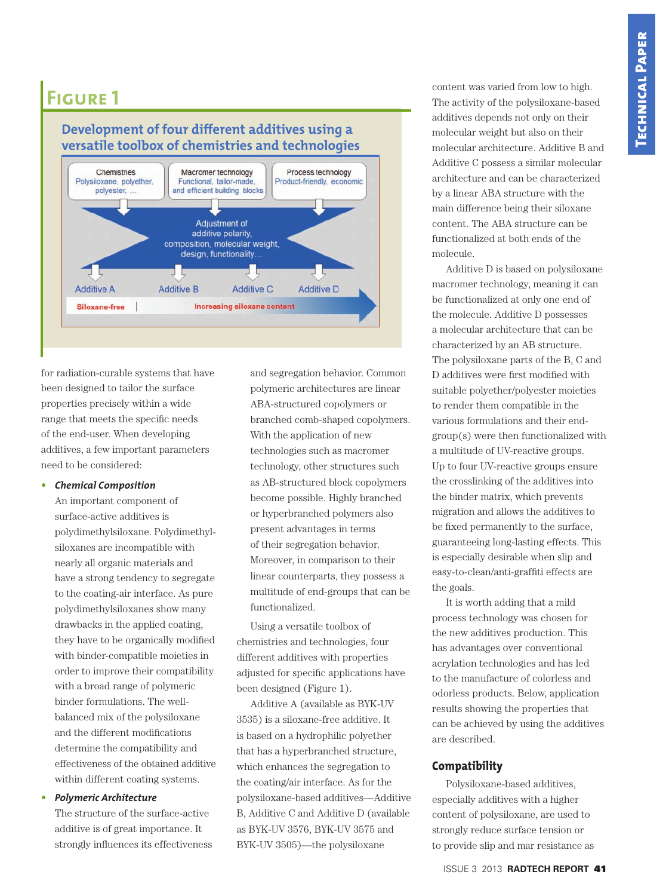## **Development of four different additives using a versatile toolbox of chemistries and technologies**



for radiation-curable systems that have been designed to tailor the surface properties precisely within a wide range that meets the specific needs of the end-user. When developing additives, a few important parameters need to be considered:

#### • *Chemical Composition*

An important component of surface-active additives is polydimethylsiloxane. Polydimethylsiloxanes are incompatible with nearly all organic materials and have a strong tendency to segregate to the coating-air interface. As pure polydimethylsiloxanes show many drawbacks in the applied coating, they have to be organically modified with binder-compatible moieties in order to improve their compatibility with a broad range of polymeric binder formulations. The wellbalanced mix of the polysiloxane and the different modifications determine the compatibility and effectiveness of the obtained additive within different coating systems.

#### • *Polymeric Architecture*

The structure of the surface-active additive is of great importance. It strongly influences its effectiveness and segregation behavior. Common polymeric architectures are linear ABA-structured copolymers or branched comb-shaped copolymers. With the application of new technologies such as macromer technology, other structures such as AB-structured block copolymers become possible. Highly branched or hyperbranched polymers also present advantages in terms of their segregation behavior. Moreover, in comparison to their linear counterparts, they possess a multitude of end-groups that can be functionalized.

Using a versatile toolbox of chemistries and technologies, four different additives with properties adjusted for specific applications have been designed (Figure 1).

Additive A (available as BYK-UV 3535) is a siloxane-free additive. It is based on a hydrophilic polyether that has a hyperbranched structure, which enhances the segregation to the coating/air interface. As for the polysiloxane-based additives—Additive B, Additive C and Additive D (available as BYK-UV 3576, BYK-UV 3575 and BYK-UV 3505)—the polysiloxane

content was varied from low to high. The activity of the polysiloxane-based additives depends not only on their molecular weight but also on their molecular architecture. Additive B and Additive C possess a similar molecular architecture and can be characterized by a linear ABA structure with the main difference being their siloxane content. The ABA structure can be functionalized at both ends of the molecule.

Additive D is based on polysiloxane macromer technology, meaning it can be functionalized at only one end of the molecule. Additive D possesses a molecular architecture that can be characterized by an AB structure. The polysiloxane parts of the B, C and D additives were first modified with suitable polyether/polyester moieties to render them compatible in the various formulations and their endgroup(s) were then functionalized with a multitude of UV-reactive groups. Up to four UV-reactive groups ensure the crosslinking of the additives into the binder matrix, which prevents migration and allows the additives to be fixed permanently to the surface, guaranteeing long-lasting effects. This is especially desirable when slip and easy-to-clean/anti-graffiti effects are the goals.

It is worth adding that a mild process technology was chosen for the new additives production. This has advantages over conventional acrylation technologies and has led to the manufacture of colorless and odorless products. Below, application results showing the properties that can be achieved by using the additives are described.

#### **Compatibility**

Polysiloxane-based additives, especially additives with a higher content of polysiloxane, are used to strongly reduce surface tension or to provide slip and mar resistance as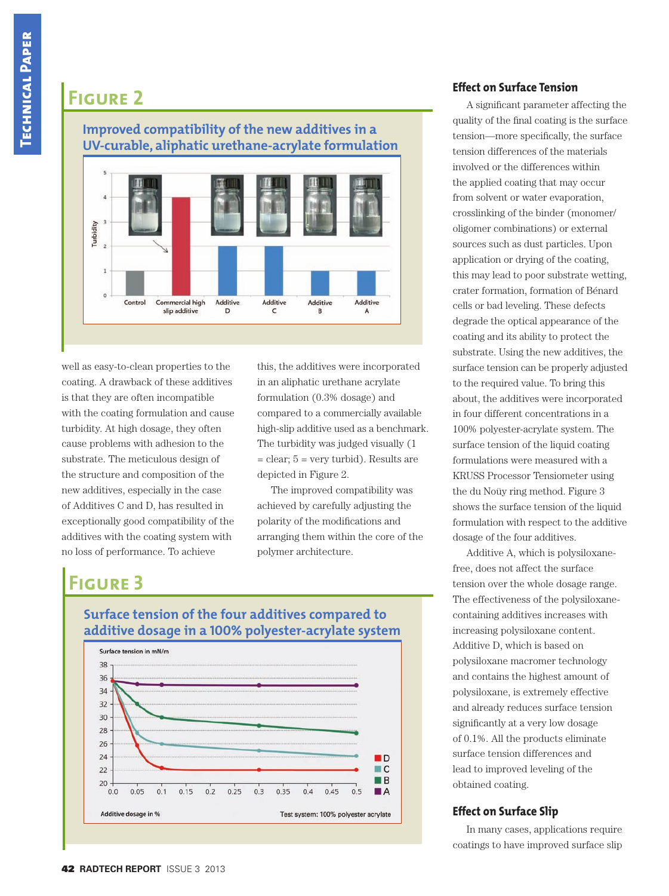## **Improved compatibility of the new additives in a UV-curable, aliphatic urethane-acrylate formulation**



well as easy-to-clean properties to the coating. A drawback of these additives is that they are often incompatible with the coating formulation and cause turbidity. At high dosage, they often cause problems with adhesion to the substrate. The meticulous design of the structure and composition of the new additives, especially in the case of Additives C and D, has resulted in exceptionally good compatibility of the additives with the coating system with no loss of performance. To achieve

this, the additives were incorporated in an aliphatic urethane acrylate formulation (0.3% dosage) and compared to a commercially available high-slip additive used as a benchmark. The turbidity was judged visually (1 = clear; 5 = very turbid). Results are depicted in Figure 2.

The improved compatibility was achieved by carefully adjusting the polarity of the modifications and arranging them within the core of the polymer architecture.

# **Figure 3**



## **Surface tension of the four additives compared to additive dosage in a 100% polyester-acrylate system**

## **Effect on Surface Tension**

A significant parameter affecting the quality of the final coating is the surface tension—more specifically, the surface tension differences of the materials involved or the differences within the applied coating that may occur from solvent or water evaporation, crosslinking of the binder (monomer/ oligomer combinations) or external sources such as dust particles. Upon application or drying of the coating, this may lead to poor substrate wetting, crater formation, formation of Bénard cells or bad leveling. These defects degrade the optical appearance of the coating and its ability to protect the substrate. Using the new additives, the surface tension can be properly adjusted to the required value. To bring this about, the additives were incorporated in four different concentrations in a 100% polyester-acrylate system. The surface tension of the liquid coating formulations were measured with a KRUSS Processor Tensiometer using the du Noüy ring method. Figure 3 shows the surface tension of the liquid formulation with respect to the additive dosage of the four additives.

Additive A, which is polysiloxanefree, does not affect the surface tension over the whole dosage range. The effectiveness of the polysiloxanecontaining additives increases with increasing polysiloxane content. Additive D, which is based on polysiloxane macromer technology and contains the highest amount of polysiloxane, is extremely effective and already reduces surface tension significantly at a very low dosage of 0.1%. All the products eliminate surface tension differences and lead to improved leveling of the obtained coating.

## **Effect on Surface Slip**

In many cases, applications require coatings to have improved surface slip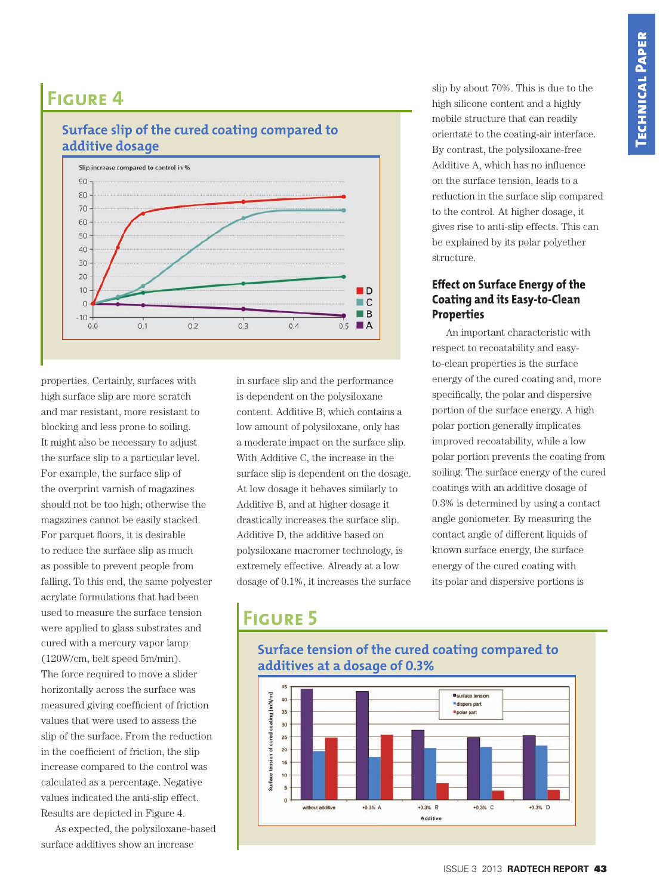#### **additive dosage** Slip increase compared to control in % 90  $80$ 70 60  $50$ 40 30  $20$  $10$  $\blacksquare$  $\blacksquare$  C  $\Omega$  $B$  $-10$  $0.0$  $0<sub>1</sub>$  $0<sub>2</sub>$  $0.3$  $0.4$  $0.5$  $\blacksquare$  A

**Surface slip of the cured coating compared to** 

properties. Certainly, surfaces with high surface slip are more scratch and mar resistant, more resistant to blocking and less prone to soiling. It might also be necessary to adjust the surface slip to a particular level. For example, the surface slip of the overprint varnish of magazines should not be too high; otherwise the magazines cannot be easily stacked. For parquet floors, it is desirable to reduce the surface slip as much as possible to prevent people from falling. To this end, the same polyester acrylate formulations that had been used to measure the surface tension were applied to glass substrates and cured with a mercury vapor lamp (120W/cm, belt speed 5m/min). The force required to move a slider horizontally across the surface was measured giving coefficient of friction values that were used to assess the slip of the surface. From the reduction in the coefficient of friction, the slip increase compared to the control was calculated as a percentage. Negative values indicated the anti-slip effect. Results are depicted in Figure 4.

As expected, the polysiloxane-based surface additives show an increase

in surface slip and the performance is dependent on the polysiloxane content. Additive B, which contains a low amount of polysiloxane, only has a moderate impact on the surface slip. With Additive C, the increase in the surface slip is dependent on the dosage. At low dosage it behaves similarly to Additive B, and at higher dosage it drastically increases the surface slip. Additive D, the additive based on polysiloxane macromer technology, is extremely effective. Already at a low dosage of 0.1%, it increases the surface

slip by about 70%. This is due to the high silicone content and a highly mobile structure that can readily orientate to the coating-air interface. By contrast, the polysiloxane-free Additive A, which has no influence on the surface tension, leads to a reduction in the surface slip compared to the control. At higher dosage, it gives rise to anti-slip effects. This can be explained by its polar polyether structure.

#### **Effect on Surface Energy of the Coating and its Easy-to-Clean Properties**

An important characteristic with respect to recoatability and easyto-clean properties is the surface energy of the cured coating and, more specifically, the polar and dispersive portion of the surface energy. A high polar portion generally implicates improved recoatability, while a low polar portion prevents the coating from soiling. The surface energy of the cured coatings with an additive dosage of 0.3% is determined by using a contact angle goniometer. By measuring the contact angle of different liquids of known surface energy, the surface energy of the cured coating with its polar and dispersive portions is

# **Figure 5**



**Surface tension of the cured coating compared to additives at a dosage of 0.3%**